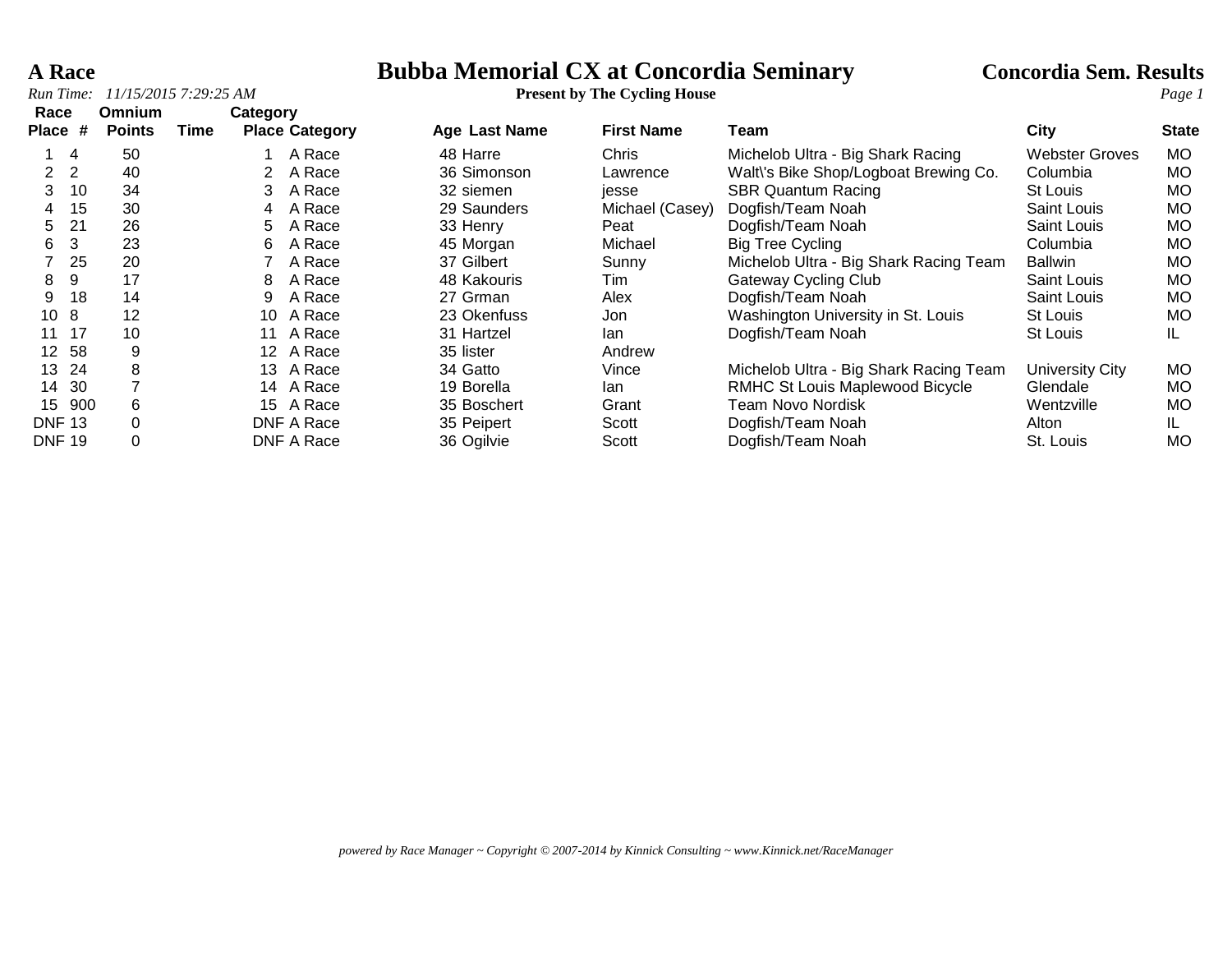### *Run Time:*  $11/15/2015$  7:29:25 AM

# **A Race Bubba Memorial CX at Concordia Seminary Concordia Sem. Results**<br>*Run Time:* 11/15/2015 7:29:25 AM **Present by The Cycling House** *Page 1*

| Race                             | <b>Omnium</b> | Category |                       |               |                   |                                        |                       |              |
|----------------------------------|---------------|----------|-----------------------|---------------|-------------------|----------------------------------------|-----------------------|--------------|
| Place #                          | <b>Points</b> | Time     | <b>Place Category</b> | Age Last Name | <b>First Name</b> | Team                                   | City                  | <b>State</b> |
| $\overline{4}$                   | 50            |          | A Race                | 48 Harre      | Chris             | Michelob Ultra - Big Shark Racing      | <b>Webster Groves</b> | <b>MO</b>    |
| $\overline{2}$<br>$\overline{2}$ | 40            |          | A Race                | 36 Simonson   | Lawrence          | Walt\'s Bike Shop/Logboat Brewing Co.  | Columbia              | <b>MO</b>    |
| 10<br>3                          | 34            |          | A Race<br>3           | 32 siemen     | jesse             | <b>SBR Quantum Racing</b>              | St Louis              | <b>MO</b>    |
| 15<br>4                          | 30            |          | A Race<br>4           | 29 Saunders   | Michael (Casey)   | Dogfish/Team Noah                      | Saint Louis           | <b>MO</b>    |
| 21<br>5                          | 26            |          | A Race<br>5.          | 33 Henry      | Peat              | Dogfish/Team Noah                      | Saint Louis           | <b>MO</b>    |
| 3<br>6                           | 23            |          | A Race<br>6.          | 45 Morgan     | Michael           | <b>Big Tree Cycling</b>                | Columbia              | <b>MO</b>    |
| 25                               | 20            |          | A Race                | 37 Gilbert    | Sunny             | Michelob Ultra - Big Shark Racing Team | <b>Ballwin</b>        | <b>MO</b>    |
| 9<br>8                           | 17            |          | A Race<br>8           | 48 Kakouris   | Tim               | <b>Gateway Cycling Club</b>            | Saint Louis           | МO           |
| 18<br>9                          | 14            |          | 9<br>A Race           | 27 Grman      | Alex              | Dogfish/Team Noah                      | Saint Louis           | <b>MO</b>    |
| 8<br>10                          | 12            |          | 10 A Race             | 23 Okenfuss   | Jon               | Washington University in St. Louis     | St Louis              | <b>MO</b>    |
| -17<br>11                        | 10            |          | 11 A Race             | 31 Hartzel    | lan               | Dogfish/Team Noah                      | St Louis              | IL.          |
| 58<br>12 <sup>°</sup>            | 9             |          | 12 A Race             | 35 lister     | Andrew            |                                        |                       |              |
| 24<br>13                         | 8             |          | A Race<br>13          | 34 Gatto      | Vince             | Michelob Ultra - Big Shark Racing Team | University City       | <b>MO</b>    |
| 30<br>14                         |               |          | 14 A Race             | 19 Borella    | lan               | RMHC St Louis Maplewood Bicycle        | Glendale              | <b>MO</b>    |
| 900<br>15                        | 6             |          | 15 A Race             | 35 Boschert   | Grant             | Team Novo Nordisk                      | Wentzville            | <b>MO</b>    |
| <b>DNF 13</b>                    |               |          | DNF A Race            | 35 Peipert    | Scott             | Dogfish/Team Noah                      | Alton                 | IL           |
| <b>DNF 19</b>                    |               |          | DNF A Race            | 36 Ogilvie    | Scott             | Dogfish/Team Noah                      | St. Louis             | MO           |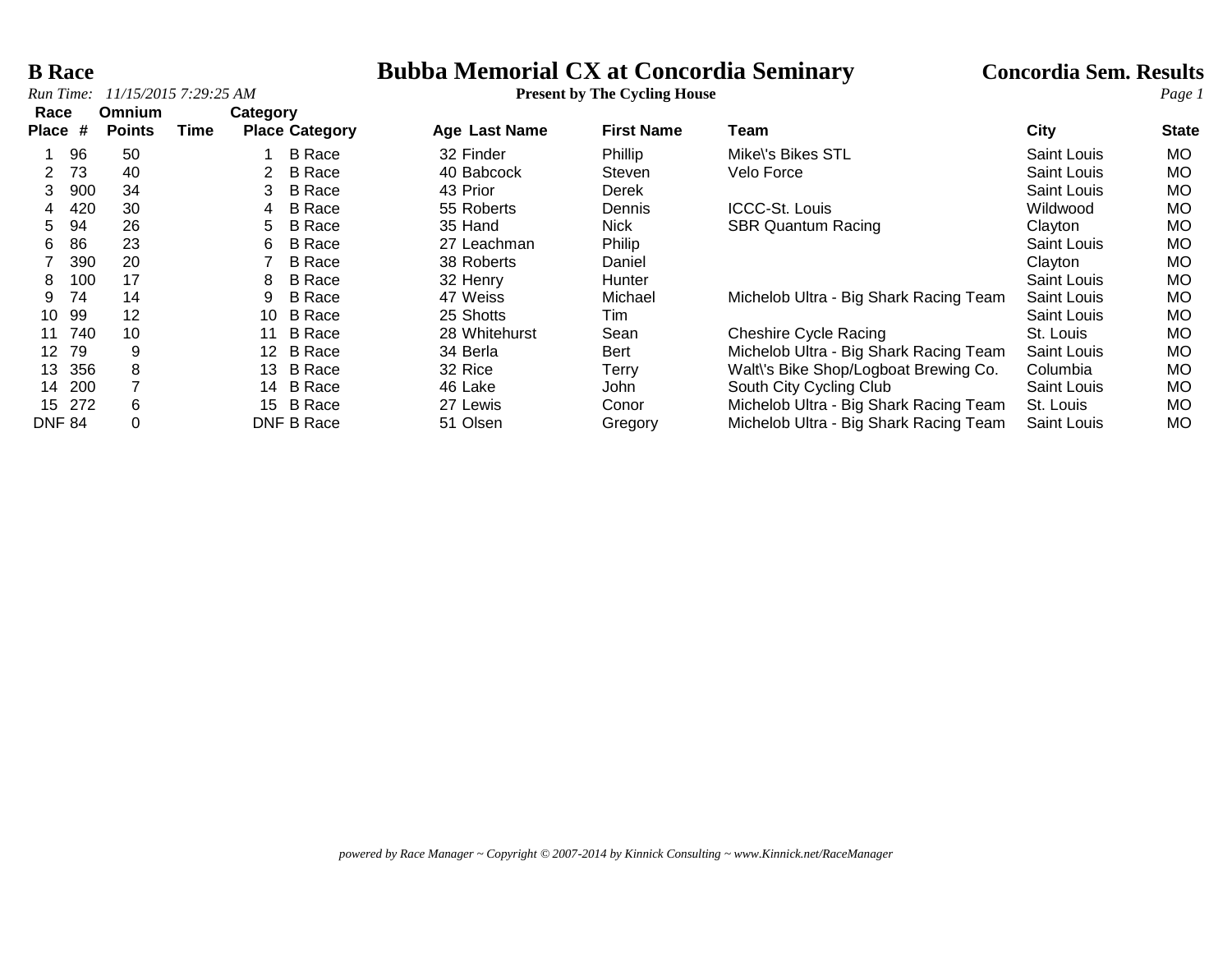# **B Race**<br> **Bubba Memorial CX at Concordia Seminary Concordia Sem. Results**<br> **Present by The Cycling House**<br> **Present by The Cycling House**

| Race                   | Omnium        |      |                   | Category              |               |                   |                                        |                    |              |
|------------------------|---------------|------|-------------------|-----------------------|---------------|-------------------|----------------------------------------|--------------------|--------------|
| <b>Place</b><br>#      | <b>Points</b> | Time |                   | <b>Place Category</b> | Age Last Name | <b>First Name</b> | Team                                   | <b>City</b>        | <b>State</b> |
| 96                     | 50            |      |                   | <b>B</b> Race         | 32 Finder     | Phillip           | Mike\'s Bikes STL                      | Saint Louis        | <b>MO</b>    |
| 73<br>2                | 40            |      |                   | <b>B</b> Race         | 40 Babcock    | Steven            | Velo Force                             | Saint Louis        | <b>MO</b>    |
| 900<br>3               | 34            |      | 3                 | <b>B</b> Race         | 43 Prior      | Derek             |                                        | <b>Saint Louis</b> | <b>MO</b>    |
| 420<br>4               | 30            |      | 4                 | <b>B</b> Race         | 55 Roberts    | <b>Dennis</b>     | <b>ICCC-St. Louis</b>                  | Wildwood           | <b>MO</b>    |
| 94<br>5                | 26            |      | 5.                | <b>B</b> Race         | 35 Hand       | <b>Nick</b>       | <b>SBR Quantum Racing</b>              | Clayton            | MO           |
| 86<br>6                | 23            |      | 6                 | <b>B</b> Race         | 27 Leachman   | Philip            |                                        | Saint Louis        | <b>MO</b>    |
| 390                    | 20            |      |                   | <b>B</b> Race         | 38 Roberts    | Daniel            |                                        | Clayton            | <b>MO</b>    |
| 100<br>8               | 17            |      | 8                 | <b>B</b> Race         | 32 Henry      | Hunter            |                                        | Saint Louis        | MO.          |
| 74<br>9                | 14            |      | 9                 | <b>B</b> Race         | 47 Weiss      | Michael           | Michelob Ultra - Big Shark Racing Team | <b>Saint Louis</b> | MO.          |
| 99<br>10               | 12            |      | 10                | <b>B</b> Race         | 25 Shotts     | Tim               |                                        | Saint Louis        | <b>MO</b>    |
| 740<br>11              | 10            |      | 11                | <b>B</b> Race         | 28 Whitehurst | Sean              | <b>Cheshire Cycle Racing</b>           | St. Louis          | <b>MO</b>    |
| 79<br>12 <sup>°</sup>  | 9             |      | $12 \overline{ }$ | <b>B</b> Race         | 34 Berla      | <b>Bert</b>       | Michelob Ultra - Big Shark Racing Team | Saint Louis        | <b>MO</b>    |
| 356<br>13 <sup>°</sup> | 8             |      | 13                | <b>B</b> Race         | 32 Rice       | Terry             | Walt's Bike Shop/Logboat Brewing Co.   | Columbia           | MO           |
| 200<br>14              |               |      | 14                | <b>B</b> Race         | 46 Lake       | John              | South City Cycling Club                | Saint Louis        | <b>MO</b>    |
| 272<br>15              | 6             |      | 15                | B Race                | 27 Lewis      | Conor             | Michelob Ultra - Big Shark Racing Team | St. Louis          | <b>MO</b>    |
| <b>DNF 84</b>          |               |      |                   | DNF B Race            | 51 Olsen      | Gregory           | Michelob Ultra - Big Shark Racing Team | Saint Louis        | МO           |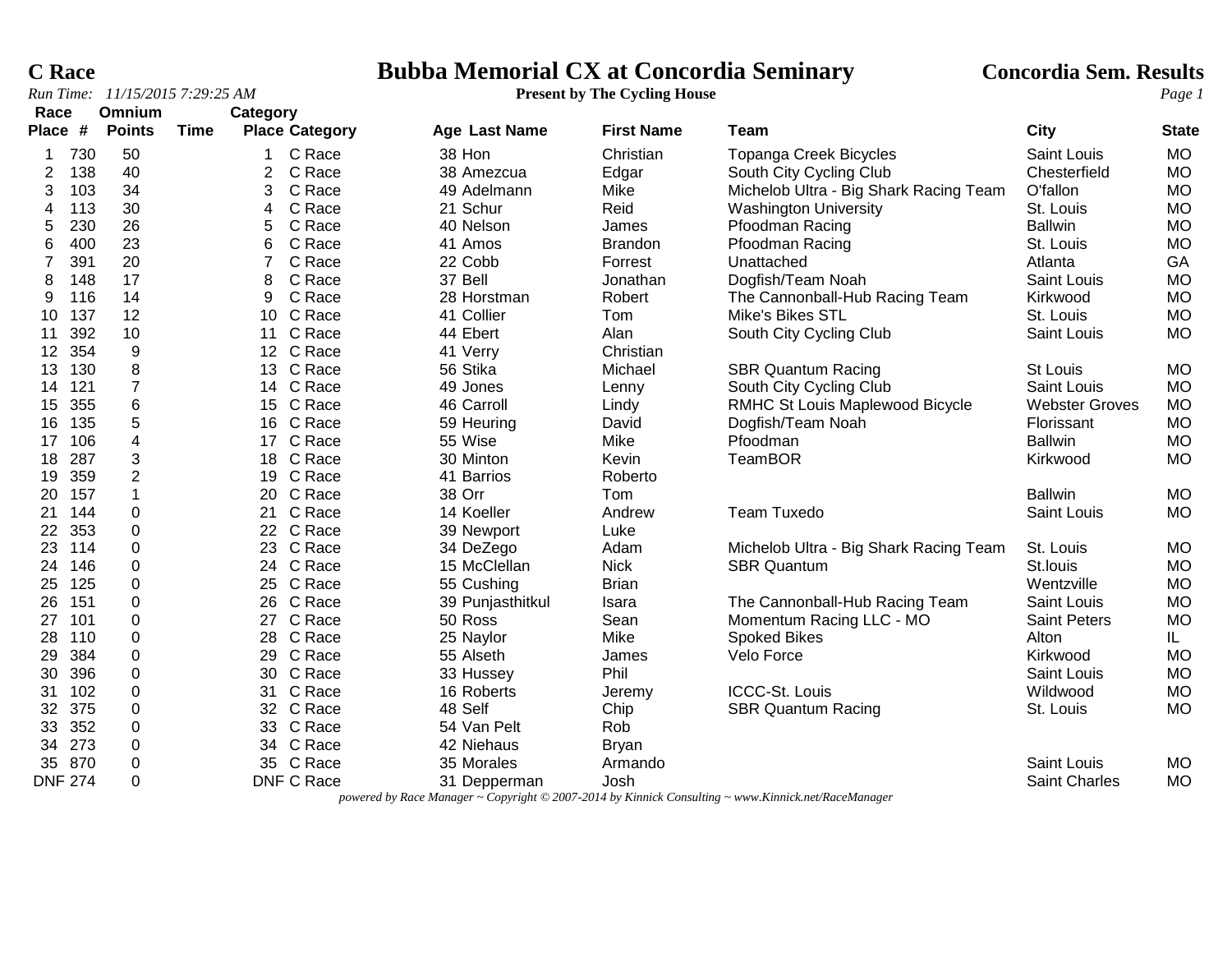### **C Race Bubba Memorial CX at Concordia Seminary Concordia Sem. Results**<br>*Run Time:* 11/15/2015 7:29:25 AM **Present by The Cycling House** *Page 1*

| Race           |     | Omnium                  |             | Category         |                       |                      |                   |                                        |                       |              |
|----------------|-----|-------------------------|-------------|------------------|-----------------------|----------------------|-------------------|----------------------------------------|-----------------------|--------------|
| Place #        |     | <b>Points</b>           | <b>Time</b> |                  | <b>Place Category</b> | <b>Age Last Name</b> | <b>First Name</b> | Team                                   | City                  | <b>State</b> |
|                | 730 | 50                      |             | 1                | C Race                | 38 Hon               | Christian         | <b>Topanga Creek Bicycles</b>          | Saint Louis           | <b>MO</b>    |
| 2              | 138 | 40                      |             | 2                | C Race                | 38 Amezcua           | Edgar             | South City Cycling Club                | Chesterfield          | <b>MO</b>    |
| 3              | 103 | 34                      |             | 3                | C Race                | 49 Adelmann          | Mike              | Michelob Ultra - Big Shark Racing Team | O'fallon              | <b>MO</b>    |
| 4              | 113 | 30                      |             | 4                | C Race                | 21 Schur             | Reid              | <b>Washington University</b>           | St. Louis             | <b>MO</b>    |
| 5              | 230 | 26                      |             | 5                | C Race                | 40 Nelson            | James             | Pfoodman Racing                        | <b>Ballwin</b>        | <b>MO</b>    |
| 6              | 400 | 23                      |             | 6                | C Race                | 41 Amos              | <b>Brandon</b>    | Pfoodman Racing                        | St. Louis             | <b>MO</b>    |
| $\overline{7}$ | 391 | 20                      |             | 7                | C Race                | 22 Cobb              | Forrest           | Unattached                             | Atlanta               | GA           |
| 8              | 148 | 17                      |             | 8                | C Race                | 37 Bell              | Jonathan          | Dogfish/Team Noah                      | Saint Louis           | <b>MO</b>    |
| 9              | 116 | 14                      |             | 9                | C Race                | 28 Horstman          | Robert            | The Cannonball-Hub Racing Team         | Kirkwood              | <b>MO</b>    |
| 10             | 137 | 12                      |             |                  | 10 C Race             | 41 Collier           | Tom               | Mike's Bikes STL                       | St. Louis             | <b>MO</b>    |
| 11             | 392 | 10                      |             | 11               | C Race                | 44 Ebert             | Alan              | South City Cycling Club                | Saint Louis           | <b>MO</b>    |
| 12             | 354 | $\boldsymbol{9}$        |             |                  | 12 C Race             | 41 Verry             | Christian         |                                        |                       |              |
| 13             | 130 | $\bf 8$                 |             | 13 <sup>13</sup> | C Race                | 56 Stika             | Michael           | <b>SBR Quantum Racing</b>              | <b>St Louis</b>       | <b>MO</b>    |
| 14             | 121 | $\overline{7}$          |             | 14               | C Race                | 49 Jones             | Lenny             | South City Cycling Club                | Saint Louis           | <b>MO</b>    |
| 15             | 355 | 6                       |             | 15               | C Race                | 46 Carroll           | Lindy             | RMHC St Louis Maplewood Bicycle        | <b>Webster Groves</b> | <b>MO</b>    |
| 16             | 135 | 5                       |             | 16               | C Race                | 59 Heuring           | David             | Dogfish/Team Noah                      | Florissant            | <b>MO</b>    |
| 17             | 106 | $\overline{\mathbf{4}}$ |             | 17 <sup>2</sup>  | C Race                | 55 Wise              | Mike              | Pfoodman                               | <b>Ballwin</b>        | <b>MO</b>    |
| 18             | 287 | 3                       |             |                  | 18 C Race             | 30 Minton            | Kevin             | TeamBOR                                | Kirkwood              | <b>MO</b>    |
| 19             | 359 | 2                       |             | 19               | C Race                | 41 Barrios           | Roberto           |                                        |                       |              |
| 20             | 157 | $\mathbf{1}$            |             |                  | 20 C Race             | 38 Orr               | Tom               |                                        | <b>Ballwin</b>        | <b>MO</b>    |
| 21             | 144 | $\boldsymbol{0}$        |             | 21               | C Race                | 14 Koeller           | Andrew            | Team Tuxedo                            | Saint Louis           | <b>MO</b>    |
| 22             | 353 | 0                       |             |                  | 22 C Race             | 39 Newport           | Luke              |                                        |                       |              |
| 23             | 114 | 0                       |             |                  | 23 C Race             | 34 DeZego            | Adam              | Michelob Ultra - Big Shark Racing Team | St. Louis             | <b>MO</b>    |
| 24             | 146 | 0                       |             |                  | 24 C Race             | 15 McClellan         | <b>Nick</b>       | <b>SBR Quantum</b>                     | St.louis              | <b>MO</b>    |
| 25             | 125 | $\boldsymbol{0}$        |             |                  | 25 C Race             | 55 Cushing           | <b>Brian</b>      |                                        | Wentzville            | <b>MO</b>    |
| 26             | 151 | $\boldsymbol{0}$        |             |                  | 26 C Race             | 39 Punjasthitkul     | Isara             | The Cannonball-Hub Racing Team         | Saint Louis           | <b>MO</b>    |
| 27             | 101 | $\boldsymbol{0}$        |             |                  | 27 C Race             | 50 Ross              | Sean              | Momentum Racing LLC - MO               | <b>Saint Peters</b>   | <b>MO</b>    |
| 28             | 110 | $\boldsymbol{0}$        |             | 28               | C Race                | 25 Naylor            | Mike              | <b>Spoked Bikes</b>                    | Alton                 | IL.          |
| 29             | 384 | $\pmb{0}$               |             | 29               | C Race                | 55 Alseth            | James             | Velo Force                             | Kirkwood              | <b>MO</b>    |
| 30             | 396 | 0                       |             | 30               | C Race                | 33 Hussey            | Phil              |                                        | Saint Louis           | <b>MO</b>    |
| 31             | 102 | $\boldsymbol{0}$        |             | 31               | C Race                | 16 Roberts           | Jeremy            | ICCC-St. Louis                         | Wildwood              | <b>MO</b>    |
| 32             | 375 | $\boldsymbol{0}$        |             |                  | 32 C Race             | 48 Self              | Chip              | <b>SBR Quantum Racing</b>              | St. Louis             | <b>MO</b>    |
| 33             | 352 | 0                       |             |                  | 33 C Race             | 54 Van Pelt          | Rob               |                                        |                       |              |
| 34             | 273 | $\boldsymbol{0}$        |             |                  | 34 C Race             | 42 Niehaus           | <b>Bryan</b>      |                                        |                       |              |
| 35             | 870 | $\boldsymbol{0}$        |             |                  | 35 C Race             | 35 Morales           | Armando           |                                        | <b>Saint Louis</b>    | <b>MO</b>    |
| <b>DNF 274</b> |     | 0                       |             |                  | <b>DNF C Race</b>     | 31 Depperman         | Josh              |                                        | Saint Charles         | <b>MO</b>    |

*powered by Race Manager ~ Copyright © 2007-2014 by Kinnick Consulting ~ www.Kinnick.net/RaceManager*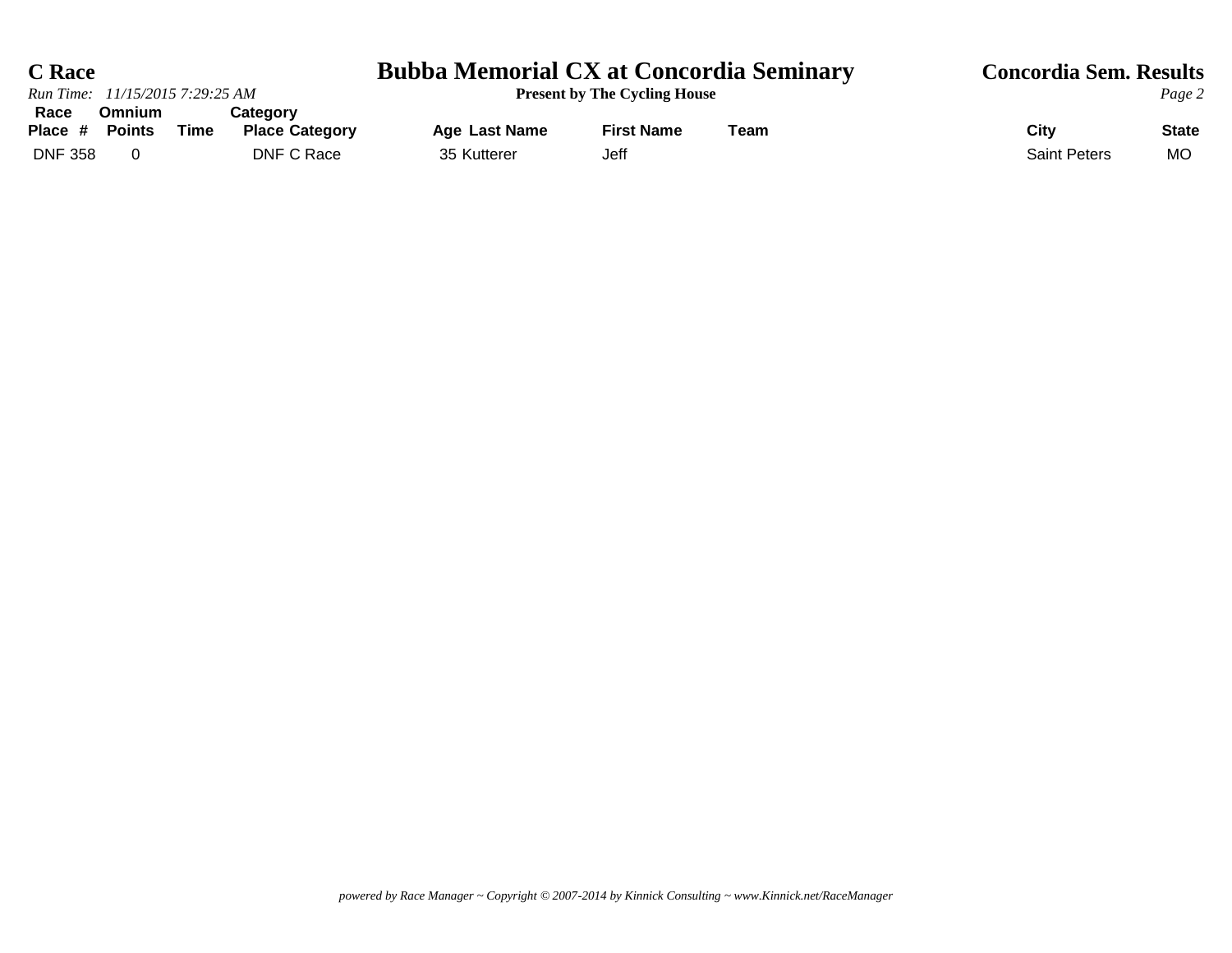| <b>C</b> Race                     |                                 |      |                                                 | <b>Bubba Memorial CX at Concordia Seminary</b> | Concordia Sem. Results    |      |                             |                    |
|-----------------------------------|---------------------------------|------|-------------------------------------------------|------------------------------------------------|---------------------------|------|-----------------------------|--------------------|
|                                   | Run Time: 11/15/2015 7:29:25 AM |      |                                                 | <b>Present by The Cycling House</b>            | Page 2                    |      |                             |                    |
| Race<br>Place #<br><b>DNF 358</b> | <b>Omnium</b><br>Points         | Time | Cateɑorv<br><b>Place Category</b><br>DNF C Race | <b>Age Last Name</b><br>35 Kutterer            | <b>First Name</b><br>Jeff | Team | City<br><b>Saint Peters</b> | <b>State</b><br>MO |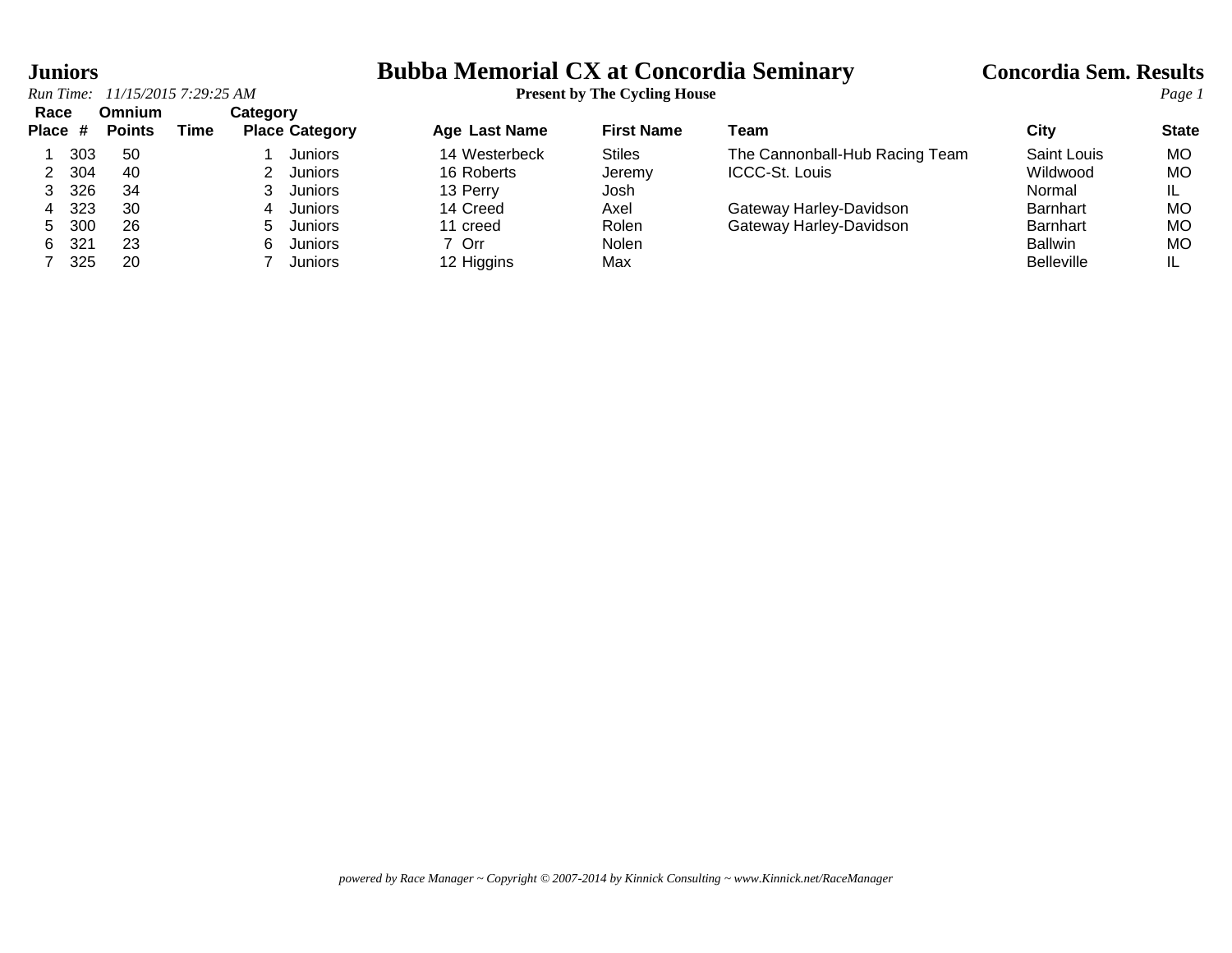### **Juniors Bubba Memorial CX at Concordia Seminary Concordia Sem. Results**

|                 | Run Time: 11/15/2015 7:29:25 AM |                         |      |          |                       | <b>Present by The Cycling House</b> |                   | Page 1                         |                   |              |
|-----------------|---------------------------------|-------------------------|------|----------|-----------------------|-------------------------------------|-------------------|--------------------------------|-------------------|--------------|
| Race<br>Place # |                                 | Omnium<br><b>Points</b> | Time | Category | <b>Place Category</b> | <b>Age Last Name</b>                | <b>First Name</b> | Team                           | City              | <b>State</b> |
|                 | 303                             | -50                     |      |          | <b>Juniors</b>        | 14 Westerbeck                       | <b>Stiles</b>     | The Cannonball-Hub Racing Team | Saint Louis       | MO.          |
|                 | 304                             | -40                     |      |          | Juniors               | 16 Roberts                          | Jeremy            | <b>ICCC-St. Louis</b>          | Wildwood          | MO           |
|                 | 326                             | -34                     |      |          | Juniors               | 13 Perry                            | Josh              |                                | Normal            | IL           |
| 4               | 323                             | 30                      |      | 4        | <b>Juniors</b>        | 14 Creed                            | Axel              | Gateway Harley-Davidson        | Barnhart          | MO           |
| 5.              | 300                             | 26                      |      | b.       | Juniors               | 11 creed                            | Rolen             | Gateway Harley-Davidson        | Barnhart          | MO           |
| 6.              | 32 <sup>1</sup>                 | 23                      |      |          | Juniors               | 7 Orr                               | Nolen             |                                | <b>Ballwin</b>    | MO           |
|                 | 325                             | 20                      |      |          | Juniors               | 12 Higgins                          | Max               |                                | <b>Belleville</b> |              |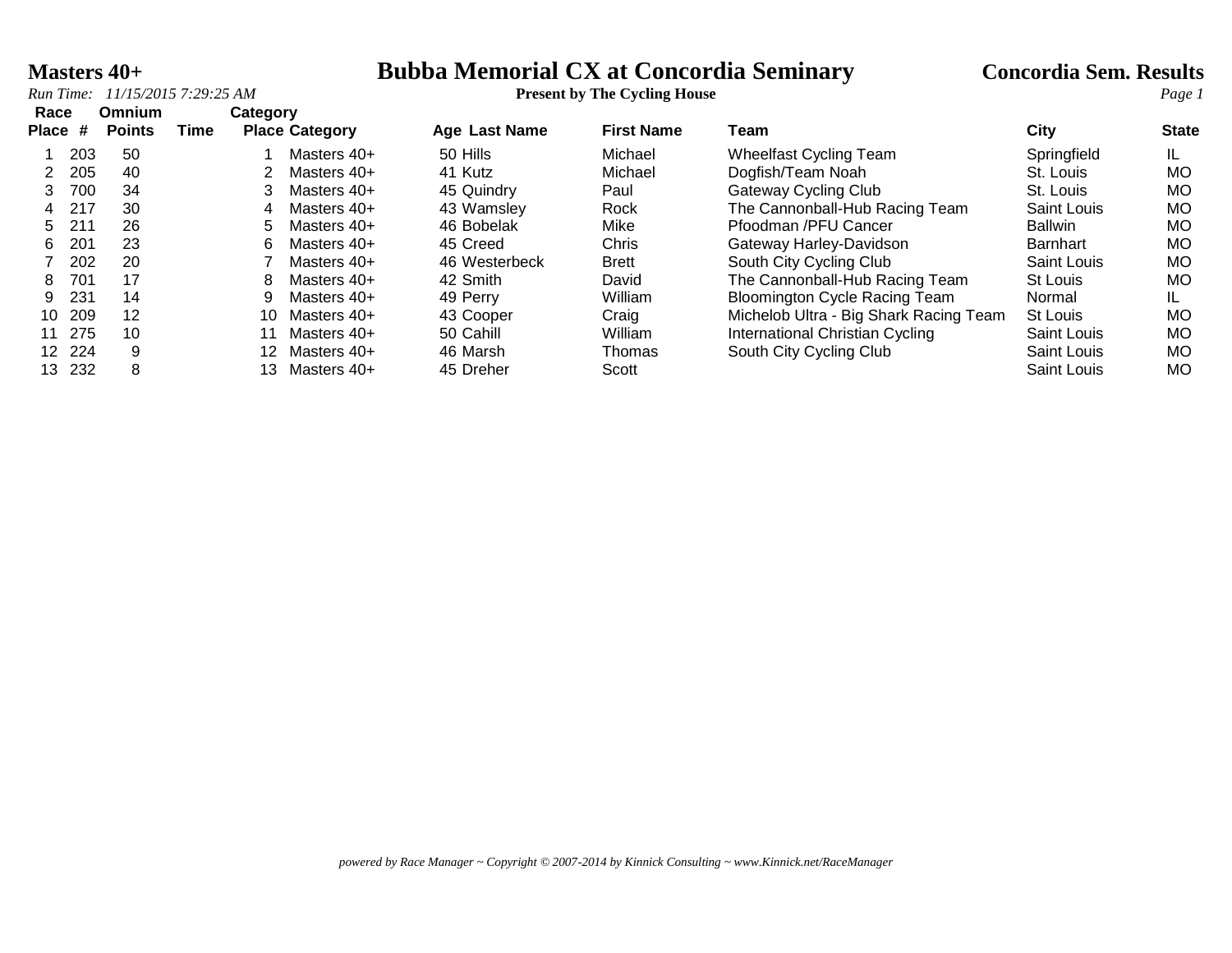*Run Time:*  $11/15/2015$  7:29:25 AM

# **Masters 40+ Bubba Memorial CX at Concordia Seminary Concordia Sem. Results**<br>*Run Time:* 11/15/2015 7:29:25 AM **Present by The Cycling House**

| Race  |        | Omnium        |      | Category |                       |                      |                   |                                        |                 |              |
|-------|--------|---------------|------|----------|-----------------------|----------------------|-------------------|----------------------------------------|-----------------|--------------|
| Place | #      | <b>Points</b> | Time |          | <b>Place Category</b> | <b>Age Last Name</b> | <b>First Name</b> | Team                                   | City            | <b>State</b> |
|       | 203    | 50            |      |          | Masters 40+           | 50 Hills             | Michael           | <b>Wheelfast Cycling Team</b>          | Springfield     |              |
|       | 205    | 40            |      |          | Masters 40+           | 41 Kutz              | Michael           | Dogfish/Team Noah                      | St. Louis       | МO           |
| 3     | 700    | 34            |      |          | Masters 40+           | 45 Quindry           | Paul              | Gateway Cycling Club                   | St. Louis       | <b>MO</b>    |
| 4     | 217    | 30            |      | 4        | Masters 40+           | 43 Wamsley           | Rock              | The Cannonball-Hub Racing Team         | Saint Louis     | <b>MO</b>    |
| 5.    | 211    | 26            |      | 5        | Masters 40+           | 46 Bobelak           | Mike              | Pfoodman /PFU Cancer                   | <b>Ballwin</b>  | МO           |
| 6     | 201    | 23            |      | 6        | Masters 40+           | 45 Creed             | <b>Chris</b>      | Gateway Harley-Davidson                | <b>Barnhart</b> | МO           |
|       | 202    | 20            |      |          | Masters 40+           | 46 Westerbeck        | Brett             | South City Cycling Club                | Saint Louis     | МO           |
| 8     | 701    | 17            |      | 8        | Masters 40+           | 42 Smith             | David             | The Cannonball-Hub Racing Team         | St Louis        | МO           |
| 9     | 231    | 14            |      | 9        | Masters 40+           | 49 Perry             | William           | <b>Bloomington Cycle Racing Team</b>   | Normal          |              |
| 10    | 209    | 12            |      | 10       | Masters 40+           | 43 Cooper            | Craig             | Michelob Ultra - Big Shark Racing Team | <b>St Louis</b> | <b>MO</b>    |
| 11    | 275    | 10            |      | 11       | Masters 40+           | 50 Cahill            | William           | International Christian Cycling        | Saint Louis     | МO           |
|       | 12 224 | 9             |      | 12       | Masters 40+           | 46 Marsh             | Thomas            | South City Cycling Club                | Saint Louis     | <b>MO</b>    |
| 13    | 232    | 8             |      | 13       | Masters 40+           | 45 Dreher            | Scott             |                                        | Saint Louis     | МO           |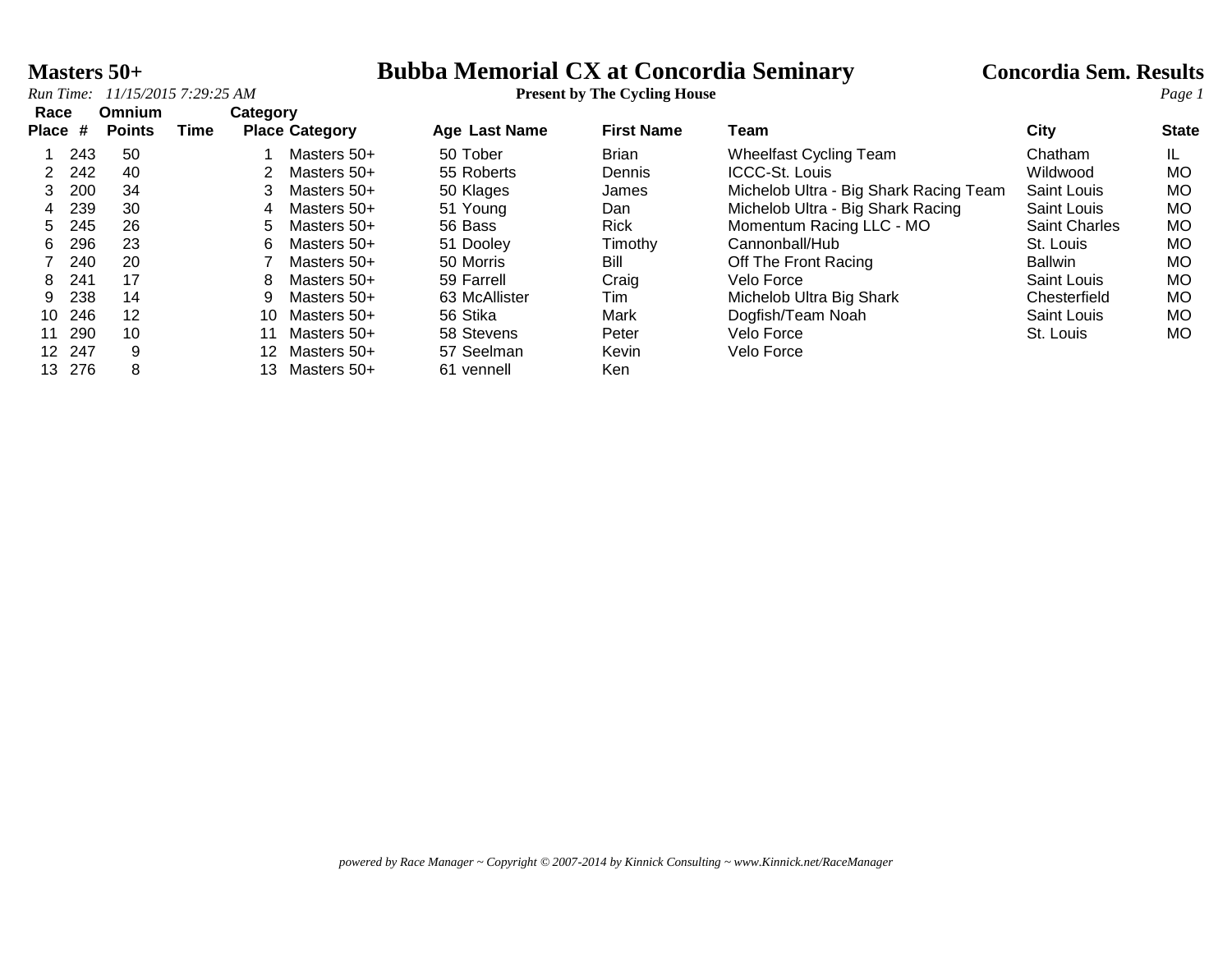**Race Omnium Category**

### **Masters 50+ Bubba Memorial CX at Concordia Seminary Concordia Sem. Results**

| Place # |        | <b>Points</b> | Time |     | <b>Place Category</b> | <b>Age Last Name</b> | <b>First Name</b> | Team                                   | City                 | <b>State</b> |
|---------|--------|---------------|------|-----|-----------------------|----------------------|-------------------|----------------------------------------|----------------------|--------------|
|         | 243    | -50           |      |     | Masters 50+           | 50 Tober             | <b>Brian</b>      | <b>Wheelfast Cycling Team</b>          | Chatham              |              |
|         | 242    | 40            |      |     | Masters 50+           | 55 Roberts           | <b>Dennis</b>     | ICCC-St. Louis                         | Wildwood             | <b>MO</b>    |
|         | 200    | 34            |      |     | Masters 50+           | 50 Klages            | James             | Michelob Ultra - Big Shark Racing Team | Saint Louis          | MO           |
| 4       | 239    | 30            |      | 4   | Masters 50+           | 51 Young             | Dan               | Michelob Ultra - Big Shark Racing      | <b>Saint Louis</b>   | MO           |
| 5.      | 245    | 26            |      | 5   | Masters 50+           | 56 Bass              | <b>Rick</b>       | Momentum Racing LLC - MO               | <b>Saint Charles</b> | MO           |
| 6.      | 296    | 23            |      | 6.  | Masters 50+           | 51 Dooley            | Timothy           | Cannonball/Hub                         | St. Louis            | <b>MO</b>    |
|         | 240    | 20            |      |     | Masters 50+           | 50 Morris            | Bill              | Off The Front Racing                   | <b>Ballwin</b>       | <b>MO</b>    |
| 8       | 241    | 17            |      | 8   | Masters 50+           | 59 Farrell           | Craig             | Velo Force                             | Saint Louis          | MO           |
|         | 238    | 14            |      |     | Masters 50+           | 63 McAllister        | Tim               | Michelob Ultra Big Shark               | Chesterfield         | MO           |
|         | 10 246 | 12            |      | 10. | Masters 50+           | 56 Stika             | Mark              | Dogfish/Team Noah                      | <b>Saint Louis</b>   | MO           |
| 11      | 290    | 10            |      | 11  | Masters 50+           | 58 Stevens           | Peter             | Velo Force                             | St. Louis            | <b>MO</b>    |
|         | 12 247 | 9             |      | 12  | Masters 50+           | 57 Seelman           | Kevin             | Velo Force                             |                      |              |
|         | 13 276 | 8             |      | 13  | Masters 50+           | 61 vennell           | <b>Ken</b>        |                                        |                      |              |
|         |        |               |      |     |                       |                      |                   |                                        |                      |              |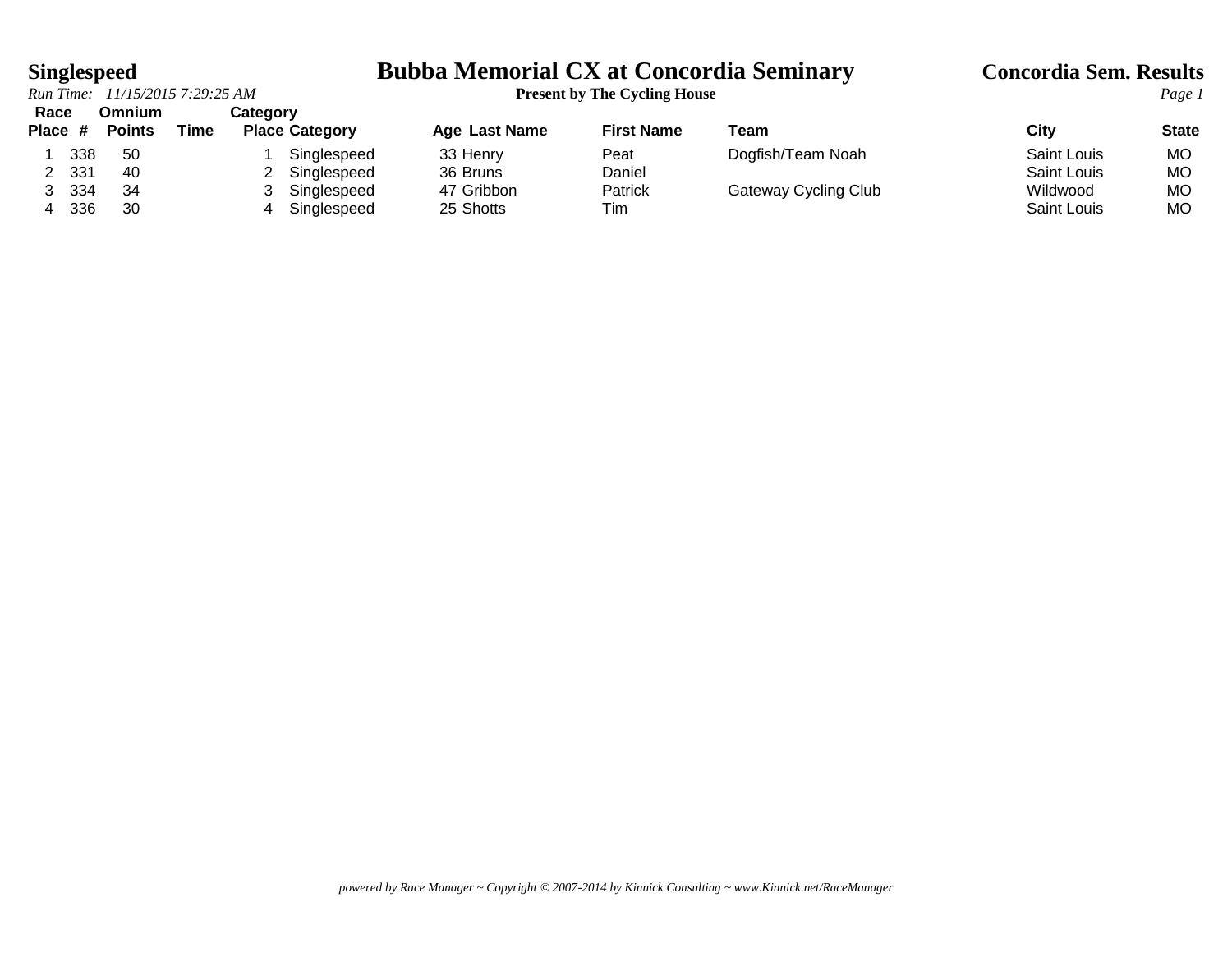*Run Time:*  $11/15/2015$  7:29:25 AM

# **Singlespeed**<br>*Run Time:* 11/15/2015 7:29:25 AM<br>**Present by The Cycling House**<br>*Page 1*

| Race    |     | Omnium        |      | Category              |               |                   |                      |                    |              |
|---------|-----|---------------|------|-----------------------|---------------|-------------------|----------------------|--------------------|--------------|
| Place # |     | <b>Points</b> | Time | <b>Place Category</b> | Age Last Name | <b>First Name</b> | Team                 | City               | <b>State</b> |
|         | 338 | -50           |      | Singlespeed           | 33 Henry      | Peat              | Dogfish/Team Noah    | <b>Saint Louis</b> | <b>MO</b>    |
|         | 331 | 40            |      | Singlespeed           | 36 Bruns      | Daniel            |                      | Saint Louis        | MO           |
|         | 334 | 34            |      | Singlespeed           | 47 Gribbon    | Patrick           | Gateway Cycling Club | Wildwood           | МO           |
|         | 336 | 30            |      | Singlespeed           | 25 Shotts     | Tim               |                      | Saint Louis        | MO           |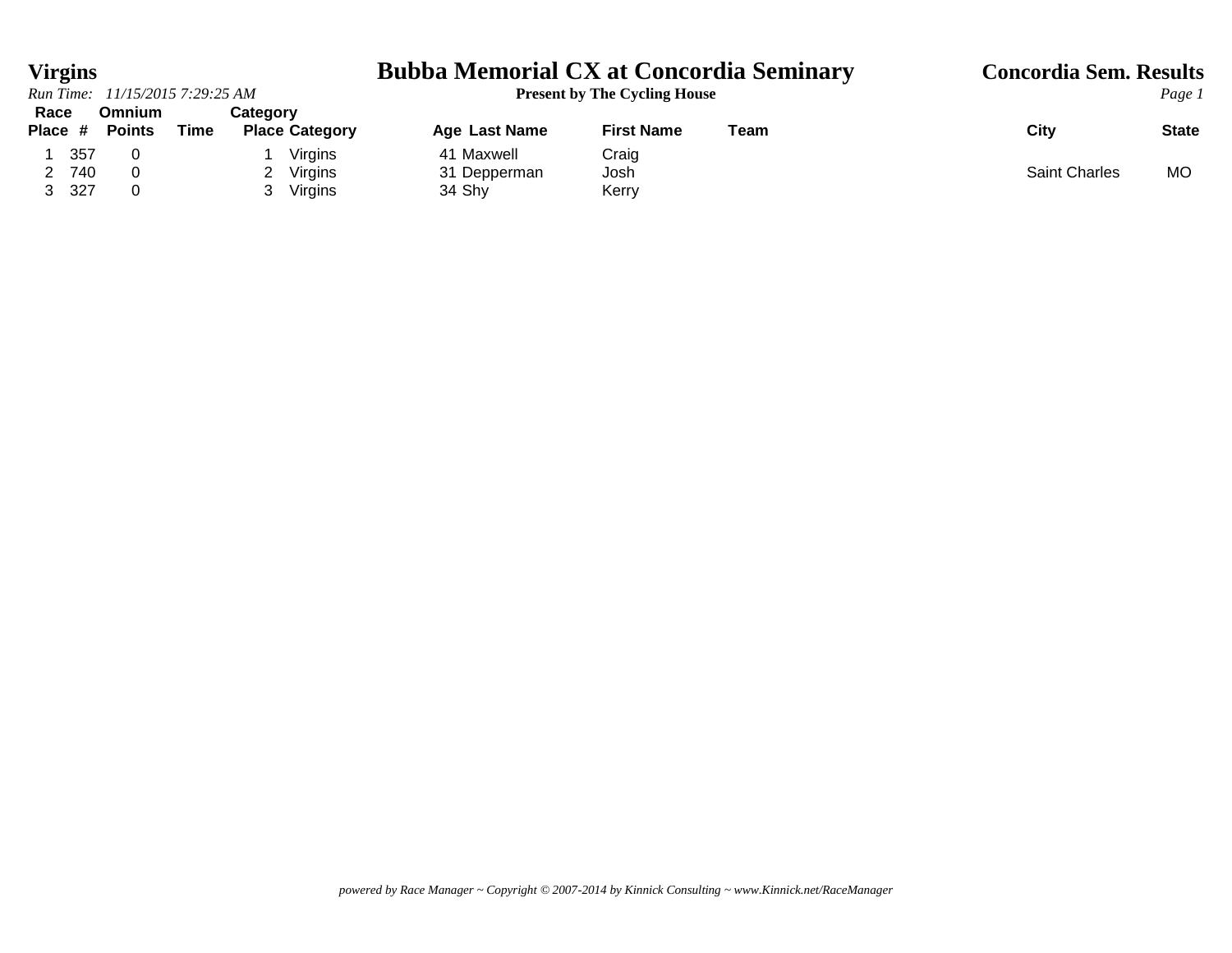|      | <b>Virgins</b>                  |                |      |                       | <b>Bubba Memorial CX at Concordia Seminary</b> |                                     |      | <b>Concordia Sem. Results</b><br>Page 1 |              |  |
|------|---------------------------------|----------------|------|-----------------------|------------------------------------------------|-------------------------------------|------|-----------------------------------------|--------------|--|
|      | Run Time: 11/15/2015 7:29:25 AM |                |      |                       |                                                | <b>Present by The Cycling House</b> |      |                                         |              |  |
| Race |                                 | <b>Omnium</b>  |      | <b>Category</b>       |                                                |                                     |      |                                         |              |  |
|      |                                 | Place # Points | Time | <b>Place Category</b> | Age Last Name                                  | <b>First Name</b>                   | Team | City                                    | <b>State</b> |  |
|      | 357                             |                |      | Virgins               | 41 Maxwell                                     | Craig                               |      |                                         |              |  |
|      | 2 740                           |                |      | 2 Virgins             | 31 Depperman                                   | Josh                                |      | <b>Saint Charles</b>                    | MO.          |  |
|      | 3 327                           |                |      | 3 Virgins             | 34 Shy                                         | Kerry                               |      |                                         |              |  |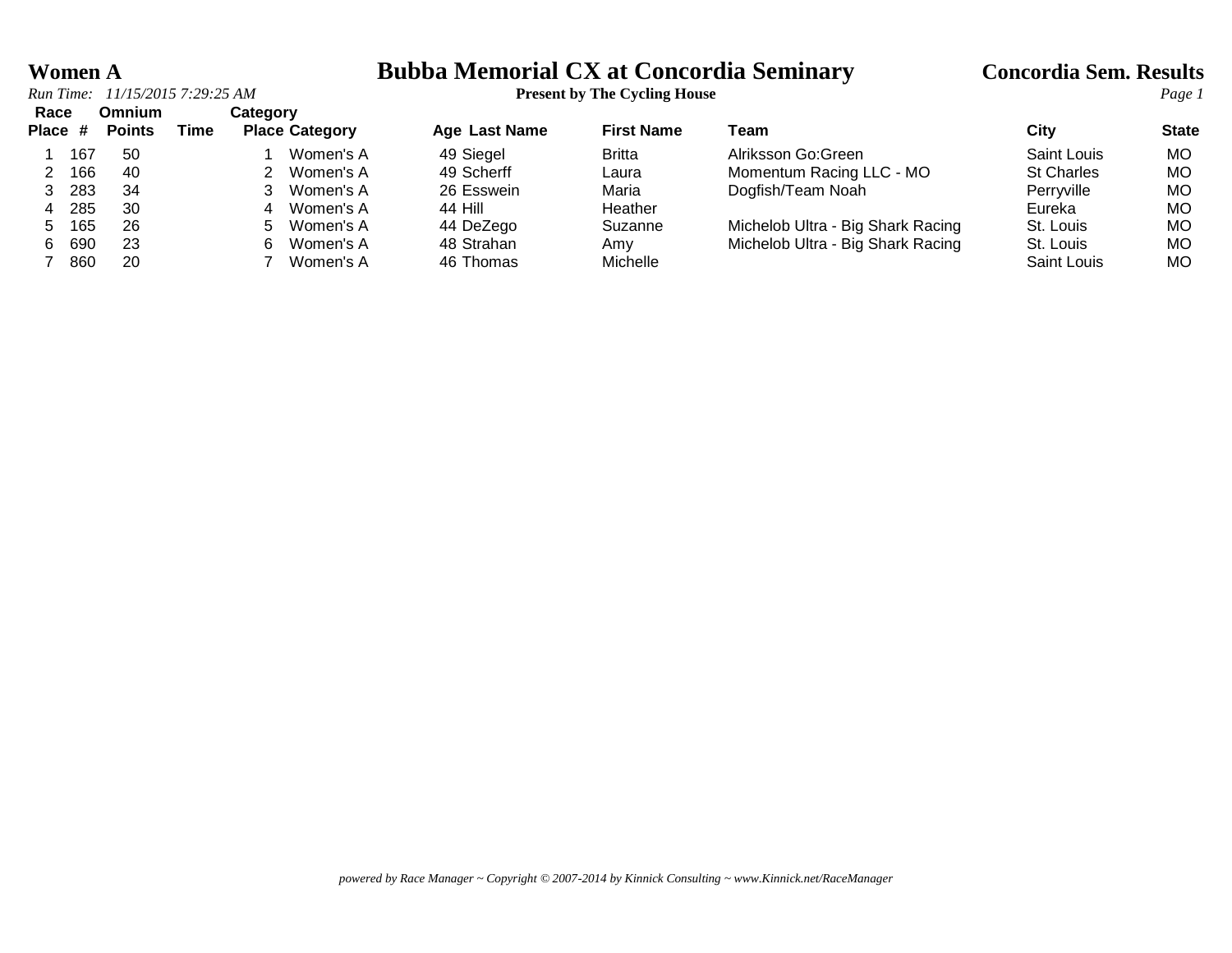### **Women A**<br>**Bubba Memorial CX at Concordia Seminary Concordia Sem. Results**<br>**Page 1 Page 1 Page 1 Page 1 Page 1 Page 1 Page 1 Page 1**

| Race    |     | <b>Omnium</b> |      | Category |                       |               |                   |                                   |                   |              |
|---------|-----|---------------|------|----------|-----------------------|---------------|-------------------|-----------------------------------|-------------------|--------------|
| Place # |     | <b>Points</b> | Time |          | <b>Place Category</b> | Age Last Name | <b>First Name</b> | Team                              | City              | <b>State</b> |
|         | 167 | -50           |      |          | Women's A             | 49 Siegel     | Britta            | Alriksson Go: Green               | Saint Louis       | МO           |
|         | 166 | -40           |      |          | Women's A             | 49 Scherff    | Laura             | Momentum Racing LLC - MO          | <b>St Charles</b> | МO           |
|         | 283 | 34            |      |          | Women's A             | 26 Esswein    | Maria             | Dogfish/Team Noah                 | Perryville        | МO           |
|         | 285 | 30            |      |          | Women's A             | 44 Hill       | Heather           |                                   | Eureka            | МO           |
| 5.      | 165 | 26            |      | 5.       | Women's A             | 44 DeZego     | Suzanne           | Michelob Ultra - Big Shark Racing | St. Louis         | МO           |
| 6       | 690 | 23            |      | h        | Women's A             | 48 Strahan    | Amv               | Michelob Ultra - Big Shark Racing | St. Louis         | МO           |
|         | 860 | 20            |      |          | Women's A             | 46 Thomas     | Michelle          |                                   | Saint Louis       | МO           |